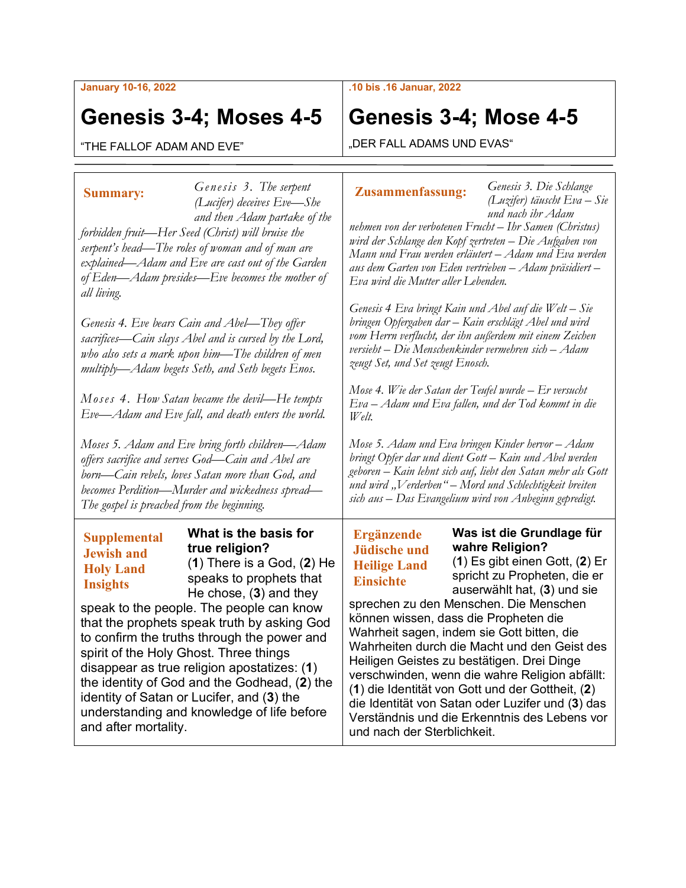#### **January 10-16, 2022**

# **Genesis 3-4; Moses 4-5**

*forbidden fruit—Her Seed (Christ) will bruise the serpent's head—The roles of woman and of man are explained—Adam and Eve are cast out of the Garden of Eden—Adam presides—Eve becomes the mother of* 

*Genesis 4. Eve bears Cain and Abel—They offer sacrifices—Cain slays Abel and is cursed by the Lord, who also sets a mark upon him—The children of men multiply—Adam begets Seth, and Seth begets Enos.*

*Moses 4. How Satan became the devil—He tempts Eve—Adam and Eve fall, and death enters the world.*

*Moses 5. Adam and Eve bring forth children—Adam offers sacrifice and serves God—Cain and Abel are born—Cain rebels, loves Satan more than God, and becomes Perdition—Murder and wickedness spread—*

*Genesis 3. The serpent (Lucifer) deceives Eve—She and then Adam partake of the* 

"THE FALLOF ADAM AND EVE"

### **.10 bis .16 Januar, 2022**

# **Genesis 3-4; Mose 4-5**

"DER FALL ADAMS UND EVAS"

### **Zusammenfassung:**

*Genesis 3. Die Schlange (Luzifer) täuscht Eva – Sie und nach ihr Adam* 

*nehmen von der verbotenen Frucht – Ihr Samen (Christus) wird der Schlange den Kopf zertreten – Die Aufgaben von Mann und Frau werden erläutert – Adam und Eva werden aus dem Garten von Eden vertrieben – Adam präsidiert – Eva wird die Mutter aller Lebenden.*

*Genesis 4 Eva bringt Kain und Abel auf die Welt – Sie bringen Opfergaben dar – Kain erschlägt Abel und wird vom Herrn verflucht, der ihn außerdem mit einem Zeichen versieht – Die Menschenkinder vermehren sich – Adam zeugt Set, und Set zeugt Enosch.*

*Mose 4. Wie der Satan der Teufel wurde – Er versucht Eva – Adam und Eva fallen, und der Tod kommt in die Welt.*

*Mose 5. Adam und Eva bringen Kinder hervor – Adam bringt Opfer dar und dient Gott – Kain und Abel werden geboren – Kain lehnt sich auf, liebt den Satan mehr als Gott und wird "Verderben" – Mord und Schlechtigkeit breiten sich aus – Das Evangelium wird von Anbeginn gepredigt.*

### **Ergänzende Jüdische und Heilige Land Einsichte**

**Was ist die Grundlage für wahre Religion?** (**1**) Es gibt einen Gott, (**2**) Er spricht zu Propheten, die er

auserwählt hat, (**3**) und sie

sprechen zu den Menschen. Die Menschen können wissen, dass die Propheten die Wahrheit sagen, indem sie Gott bitten, die Wahrheiten durch die Macht und den Geist des Heiligen Geistes zu bestätigen. Drei Dinge verschwinden, wenn die wahre Religion abfällt: (**1**) die Identität von Gott und der Gottheit, (**2**) die Identität von Satan oder Luzifer und (**3**) das Verständnis und die Erkenntnis des Lebens vor und nach der Sterblichkeit.

speaks to prophets that He chose, (**3**) and they speak to the people. The people can know that the prophets speak truth by asking God to confirm the truths through the power and spirit of the Holy Ghost. Three things disappear as true religion apostatizes: (**1**) **Holy Land Insights**

and after mortality.

**Supplemental Jewish and** 

*The gospel is preached from the beginning.*

the identity of God and the Godhead, (**2**) the identity of Satan or Lucifer, and (**3**) the understanding and knowledge of life before

**What is the basis for** 

(**1**) There is a God, (**2**) He

**true religion?**

# **Summary:**

*all living.*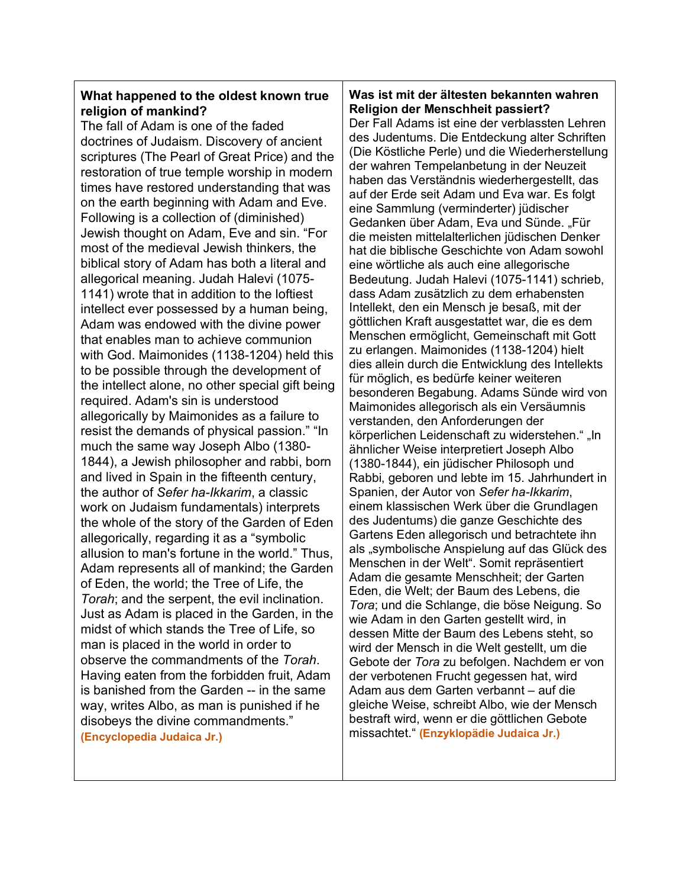### **What happened to the oldest known true religion of mankind?**

The fall of Adam is one of the faded doctrines of Judaism. Discovery of ancient scriptures (The Pearl of Great Price) and the restoration of true temple worship in modern times have restored understanding that was on the earth beginning with Adam and Eve. Following is a collection of (diminished) Jewish thought on Adam, Eve and sin. "For most of the medieval Jewish thinkers, the biblical story of Adam has both a literal and allegorical meaning. Judah Halevi (1075- 1141) wrote that in addition to the loftiest intellect ever possessed by a human being, Adam was endowed with the divine power that enables man to achieve communion with God. Maimonides (1138-1204) held this to be possible through the development of the intellect alone, no other special gift being required. Adam's sin is understood allegorically by Maimonides as a failure to resist the demands of physical passion." "In much the same way Joseph Albo (1380- 1844), a Jewish philosopher and rabbi, born and lived in Spain in the fifteenth century, the author of *Sefer ha-Ikkarim*, a classic work on Judaism fundamentals) interprets the whole of the story of the Garden of Eden allegorically, regarding it as a "symbolic allusion to man's fortune in the world." Thus, Adam represents all of mankind; the Garden of Eden, the world; the Tree of Life, the *Torah*; and the serpent, the evil inclination. Just as Adam is placed in the Garden, in the midst of which stands the Tree of Life, so man is placed in the world in order to observe the commandments of the *Torah*. Having eaten from the forbidden fruit, Adam is banished from the Garden -- in the same way, writes Albo, as man is punished if he disobeys the divine commandments." **(Encyclopedia Judaica Jr.)**

### **Was ist mit der ältesten bekannten wahren Religion der Menschheit passiert?**

Der Fall Adams ist eine der verblassten Lehren des Judentums. Die Entdeckung alter Schriften (Die Köstliche Perle) und die Wiederherstellung der wahren Tempelanbetung in der Neuzeit haben das Verständnis wiederhergestellt, das auf der Erde seit Adam und Eva war. Es folgt eine Sammlung (verminderter) jüdischer Gedanken über Adam, Eva und Sünde. "Für die meisten mittelalterlichen jüdischen Denker hat die biblische Geschichte von Adam sowohl eine wörtliche als auch eine allegorische Bedeutung. Judah Halevi (1075-1141) schrieb, dass Adam zusätzlich zu dem erhabensten Intellekt, den ein Mensch je besaß, mit der göttlichen Kraft ausgestattet war, die es dem Menschen ermöglicht, Gemeinschaft mit Gott zu erlangen. Maimonides (1138-1204) hielt dies allein durch die Entwicklung des Intellekts für möglich, es bedürfe keiner weiteren besonderen Begabung. Adams Sünde wird von Maimonides allegorisch als ein Versäumnis verstanden, den Anforderungen der körperlichen Leidenschaft zu widerstehen." "In ähnlicher Weise interpretiert Joseph Albo (1380-1844), ein jüdischer Philosoph und Rabbi, geboren und lebte im 15. Jahrhundert in Spanien, der Autor von *Sefer ha-Ikkarim*, einem klassischen Werk über die Grundlagen des Judentums) die ganze Geschichte des Gartens Eden allegorisch und betrachtete ihn als "symbolische Anspielung auf das Glück des Menschen in der Welt". Somit repräsentiert Adam die gesamte Menschheit; der Garten Eden, die Welt; der Baum des Lebens, die *Tora*; und die Schlange, die böse Neigung. So wie Adam in den Garten gestellt wird, in dessen Mitte der Baum des Lebens steht, so wird der Mensch in die Welt gestellt, um die Gebote der *Tora* zu befolgen. Nachdem er von der verbotenen Frucht gegessen hat, wird Adam aus dem Garten verbannt – auf die gleiche Weise, schreibt Albo, wie der Mensch bestraft wird, wenn er die göttlichen Gebote missachtet." **(Enzyklopädie Judaica Jr.)**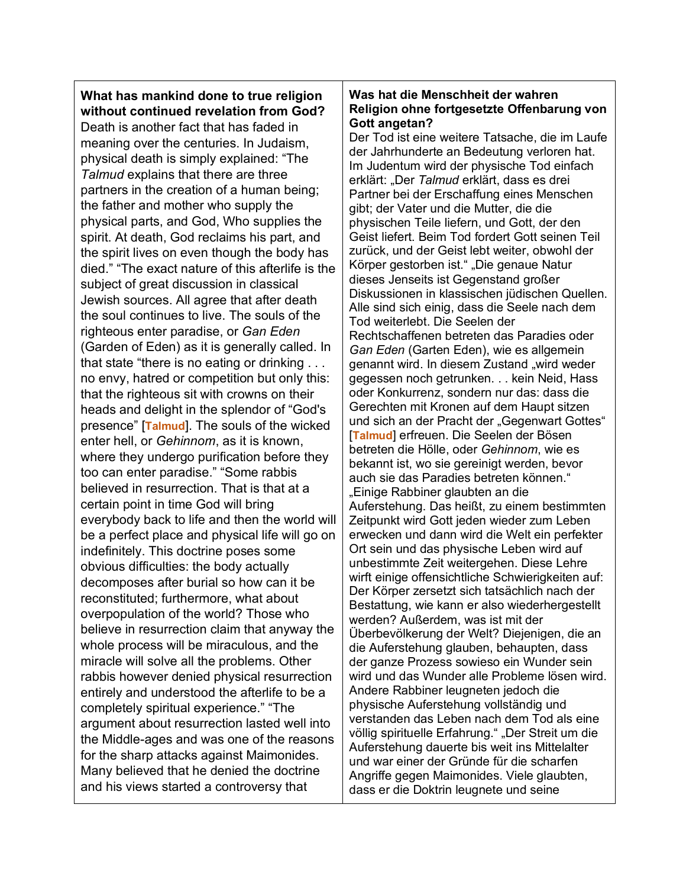## **What has mankind done to true religion without continued revelation from God?**

Death is another fact that has faded in meaning over the centuries. In Judaism, physical death is simply explained: "The *Talmud* explains that there are three partners in the creation of a human being; the father and mother who supply the physical parts, and God, Who supplies the spirit. At death, God reclaims his part, and the spirit lives on even though the body has died." "The exact nature of this afterlife is the subject of great discussion in classical Jewish sources. All agree that after death the soul continues to live. The souls of the righteous enter paradise, or *Gan Eden* (Garden of Eden) as it is generally called. In that state "there is no eating or drinking . . . no envy, hatred or competition but only this: that the righteous sit with crowns on their heads and delight in the splendor of "God's presence" [**Talmud**]. The souls of the wicked enter hell, or *Gehinnom*, as it is known, where they undergo purification before they too can enter paradise." "Some rabbis believed in resurrection. That is that at a certain point in time God will bring everybody back to life and then the world will be a perfect place and physical life will go on indefinitely. This doctrine poses some obvious difficulties: the body actually decomposes after burial so how can it be reconstituted; furthermore, what about overpopulation of the world? Those who believe in resurrection claim that anyway the whole process will be miraculous, and the miracle will solve all the problems. Other rabbis however denied physical resurrection entirely and understood the afterlife to be a completely spiritual experience." "The argument about resurrection lasted well into the Middle-ages and was one of the reasons for the sharp attacks against Maimonides. Many believed that he denied the doctrine and his views started a controversy that

### **Was hat die Menschheit der wahren Religion ohne fortgesetzte Offenbarung von Gott angetan?**

Der Tod ist eine weitere Tatsache, die im Laufe der Jahrhunderte an Bedeutung verloren hat. Im Judentum wird der physische Tod einfach erklärt: "Der *Talmud* erklärt, dass es drei Partner bei der Erschaffung eines Menschen gibt; der Vater und die Mutter, die die physischen Teile liefern, und Gott, der den Geist liefert. Beim Tod fordert Gott seinen Teil zurück, und der Geist lebt weiter, obwohl der Körper gestorben ist." "Die genaue Natur dieses Jenseits ist Gegenstand großer Diskussionen in klassischen jüdischen Quellen. Alle sind sich einig, dass die Seele nach dem Tod weiterlebt. Die Seelen der Rechtschaffenen betreten das Paradies oder *Gan Eden* (Garten Eden), wie es allgemein genannt wird. In diesem Zustand "wird weder gegessen noch getrunken. . . kein Neid, Hass oder Konkurrenz, sondern nur das: dass die Gerechten mit Kronen auf dem Haupt sitzen und sich an der Pracht der "Gegenwart Gottes" [**Talmud**] erfreuen. Die Seelen der Bösen betreten die Hölle, oder *Gehinnom*, wie es bekannt ist, wo sie gereinigt werden, bevor auch sie das Paradies betreten können." "Einige Rabbiner glaubten an die Auferstehung. Das heißt, zu einem bestimmten Zeitpunkt wird Gott jeden wieder zum Leben erwecken und dann wird die Welt ein perfekter Ort sein und das physische Leben wird auf unbestimmte Zeit weitergehen. Diese Lehre wirft einige offensichtliche Schwierigkeiten auf: Der Körper zersetzt sich tatsächlich nach der Bestattung, wie kann er also wiederhergestellt werden? Außerdem, was ist mit der Überbevölkerung der Welt? Diejenigen, die an die Auferstehung glauben, behaupten, dass der ganze Prozess sowieso ein Wunder sein wird und das Wunder alle Probleme lösen wird. Andere Rabbiner leugneten jedoch die physische Auferstehung vollständig und verstanden das Leben nach dem Tod als eine völlig spirituelle Erfahrung." "Der Streit um die Auferstehung dauerte bis weit ins Mittelalter und war einer der Gründe für die scharfen Angriffe gegen Maimonides. Viele glaubten, dass er die Doktrin leugnete und seine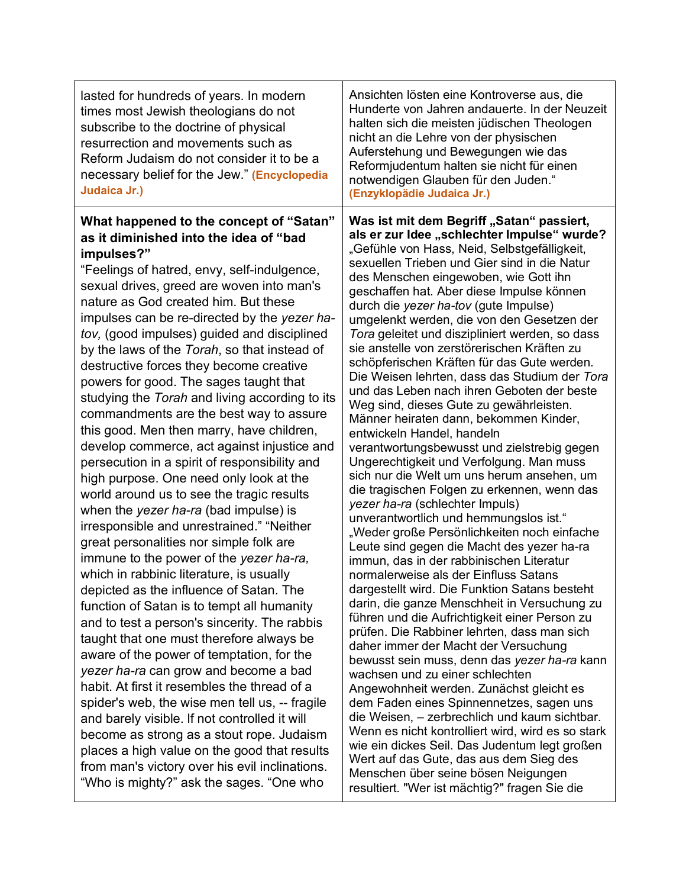| lasted for hundreds of years. In modern<br>times most Jewish theologians do not<br>subscribe to the doctrine of physical<br>resurrection and movements such as<br>Reform Judaism do not consider it to be a<br>necessary belief for the Jew." (Encyclopedia<br>Judaica Jr.)                                                                                                                                                                                                                                                                                                                                                                                                                                                                                                                                                                                                                                                                                                                                                                                                                                                                                                                                                                                                                                                                                                                                                                                                                                                                                                                                                                                | Ansichten lösten eine Kontroverse aus, die<br>Hunderte von Jahren andauerte. In der Neuzeit<br>halten sich die meisten jüdischen Theologen<br>nicht an die Lehre von der physischen<br>Auferstehung und Bewegungen wie das<br>Reformjudentum halten sie nicht für einen<br>notwendigen Glauben für den Juden."<br>(Enzyklopädie Judaica Jr.)                                                                                                                                                                                                                                                                                                                                                                                                                                                                                                                                                                                                                                                                                                                                                                                                                                                                                                                                                                                                                                                                                                                                                                                                                                                                                                                                                                                                                                                                                                                                                                  |
|------------------------------------------------------------------------------------------------------------------------------------------------------------------------------------------------------------------------------------------------------------------------------------------------------------------------------------------------------------------------------------------------------------------------------------------------------------------------------------------------------------------------------------------------------------------------------------------------------------------------------------------------------------------------------------------------------------------------------------------------------------------------------------------------------------------------------------------------------------------------------------------------------------------------------------------------------------------------------------------------------------------------------------------------------------------------------------------------------------------------------------------------------------------------------------------------------------------------------------------------------------------------------------------------------------------------------------------------------------------------------------------------------------------------------------------------------------------------------------------------------------------------------------------------------------------------------------------------------------------------------------------------------------|---------------------------------------------------------------------------------------------------------------------------------------------------------------------------------------------------------------------------------------------------------------------------------------------------------------------------------------------------------------------------------------------------------------------------------------------------------------------------------------------------------------------------------------------------------------------------------------------------------------------------------------------------------------------------------------------------------------------------------------------------------------------------------------------------------------------------------------------------------------------------------------------------------------------------------------------------------------------------------------------------------------------------------------------------------------------------------------------------------------------------------------------------------------------------------------------------------------------------------------------------------------------------------------------------------------------------------------------------------------------------------------------------------------------------------------------------------------------------------------------------------------------------------------------------------------------------------------------------------------------------------------------------------------------------------------------------------------------------------------------------------------------------------------------------------------------------------------------------------------------------------------------------------------|
| What happened to the concept of "Satan"<br>as it diminished into the idea of "bad<br>impulses?"<br>"Feelings of hatred, envy, self-indulgence,<br>sexual drives, greed are woven into man's<br>nature as God created him. But these<br>impulses can be re-directed by the yezer ha-<br>tov, (good impulses) guided and disciplined<br>by the laws of the Torah, so that instead of<br>destructive forces they become creative<br>powers for good. The sages taught that<br>studying the Torah and living according to its<br>commandments are the best way to assure<br>this good. Men then marry, have children,<br>develop commerce, act against injustice and<br>persecution in a spirit of responsibility and<br>high purpose. One need only look at the<br>world around us to see the tragic results<br>when the yezer ha-ra (bad impulse) is<br>irresponsible and unrestrained." "Neither<br>great personalities nor simple folk are<br>immune to the power of the yezer ha-ra,<br>which in rabbinic literature, is usually<br>depicted as the influence of Satan. The<br>function of Satan is to tempt all humanity<br>and to test a person's sincerity. The rabbis<br>taught that one must therefore always be<br>aware of the power of temptation, for the<br>yezer ha-ra can grow and become a bad<br>habit. At first it resembles the thread of a<br>spider's web, the wise men tell us, -- fragile<br>and barely visible. If not controlled it will<br>become as strong as a stout rope. Judaism<br>places a high value on the good that results<br>from man's victory over his evil inclinations.<br>"Who is mighty?" ask the sages. "One who | Was ist mit dem Begriff "Satan" passiert,<br>als er zur Idee "schlechter Impulse" wurde?<br>"Gefühle von Hass, Neid, Selbstgefälligkeit,<br>sexuellen Trieben und Gier sind in die Natur<br>des Menschen eingewoben, wie Gott ihn<br>geschaffen hat. Aber diese Impulse können<br>durch die yezer ha-tov (gute Impulse)<br>umgelenkt werden, die von den Gesetzen der<br>Tora geleitet und diszipliniert werden, so dass<br>sie anstelle von zerstörerischen Kräften zu<br>schöpferischen Kräften für das Gute werden.<br>Die Weisen lehrten, dass das Studium der Tora<br>und das Leben nach ihren Geboten der beste<br>Weg sind, dieses Gute zu gewährleisten.<br>Männer heiraten dann, bekommen Kinder,<br>entwickeln Handel, handeln<br>verantwortungsbewusst und zielstrebig gegen<br>Ungerechtigkeit und Verfolgung. Man muss<br>sich nur die Welt um uns herum ansehen, um<br>die tragischen Folgen zu erkennen, wenn das<br>yezer ha-ra (schlechter Impuls)<br>unverantwortlich und hemmungslos ist."<br>"Weder große Persönlichkeiten noch einfache<br>Leute sind gegen die Macht des yezer ha-ra<br>immun, das in der rabbinischen Literatur<br>normalerweise als der Einfluss Satans<br>dargestellt wird. Die Funktion Satans besteht<br>darin, die ganze Menschheit in Versuchung zu<br>führen und die Aufrichtigkeit einer Person zu<br>prüfen. Die Rabbiner lehrten, dass man sich<br>daher immer der Macht der Versuchung<br>bewusst sein muss, denn das yezer ha-ra kann<br>wachsen und zu einer schlechten<br>Angewohnheit werden. Zunächst gleicht es<br>dem Faden eines Spinnennetzes, sagen uns<br>die Weisen, - zerbrechlich und kaum sichtbar.<br>Wenn es nicht kontrolliert wird, wird es so stark<br>wie ein dickes Seil. Das Judentum legt großen<br>Wert auf das Gute, das aus dem Sieg des<br>Menschen über seine bösen Neigungen<br>resultiert. "Wer ist mächtig?" fragen Sie die |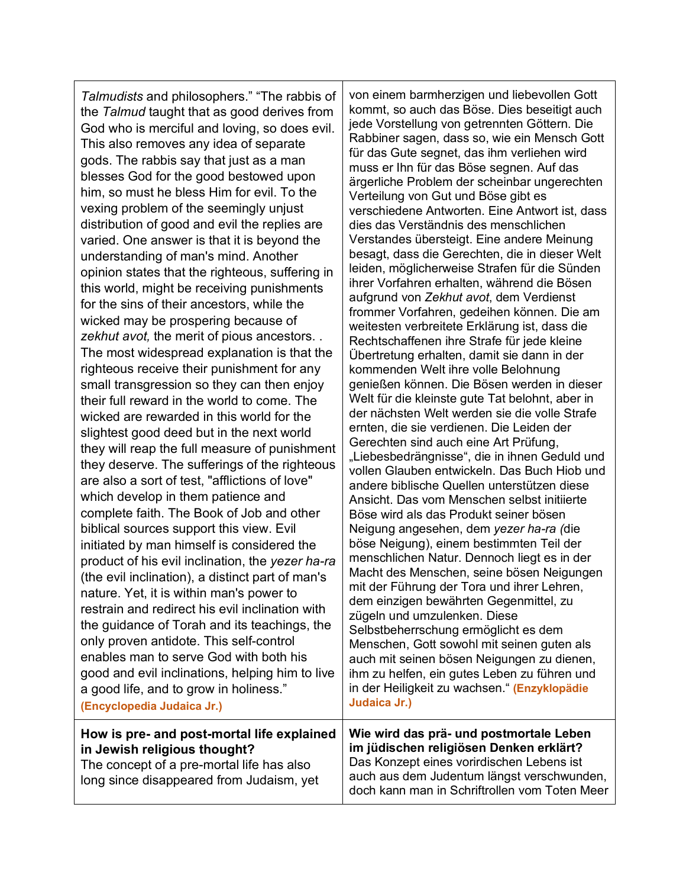*Talmudists* and philosophers." "The rabbis of the *Talmud* taught that as good derives from God who is merciful and loving, so does evil. This also removes any idea of separate gods. The rabbis say that just as a man blesses God for the good bestowed upon him, so must he bless Him for evil. To the vexing problem of the seemingly unjust distribution of good and evil the replies are varied. One answer is that it is beyond the understanding of man's mind. Another opinion states that the righteous, suffering in this world, might be receiving punishments for the sins of their ancestors, while the wicked may be prospering because of *zekhut avot,* the merit of pious ancestors. . The most widespread explanation is that the righteous receive their punishment for any small transgression so they can then enjoy their full reward in the world to come. The wicked are rewarded in this world for the slightest good deed but in the next world they will reap the full measure of punishment they deserve. The sufferings of the righteous are also a sort of test, "afflictions of love" which develop in them patience and complete faith. The Book of Job and other biblical sources support this view. Evil initiated by man himself is considered the product of his evil inclination, the *yezer ha-ra* (the evil inclination), a distinct part of man's nature. Yet, it is within man's power to restrain and redirect his evil inclination with the guidance of Torah and its teachings, the only proven antidote. This self-control enables man to serve God with both his good and evil inclinations, helping him to live a good life, and to grow in holiness." **(Encyclopedia Judaica Jr.)**

von einem barmherzigen und liebevollen Gott kommt, so auch das Böse. Dies beseitigt auch jede Vorstellung von getrennten Göttern. Die Rabbiner sagen, dass so, wie ein Mensch Gott für das Gute segnet, das ihm verliehen wird muss er Ihn für das Böse segnen. Auf das ärgerliche Problem der scheinbar ungerechten Verteilung von Gut und Böse gibt es verschiedene Antworten. Eine Antwort ist, dass dies das Verständnis des menschlichen Verstandes übersteigt. Eine andere Meinung besagt, dass die Gerechten, die in dieser Welt leiden, möglicherweise Strafen für die Sünden ihrer Vorfahren erhalten, während die Bösen aufgrund von *Zekhut avot*, dem Verdienst frommer Vorfahren, gedeihen können. Die am weitesten verbreitete Erklärung ist, dass die Rechtschaffenen ihre Strafe für jede kleine Übertretung erhalten, damit sie dann in der kommenden Welt ihre volle Belohnung genießen können. Die Bösen werden in dieser Welt für die kleinste gute Tat belohnt, aber in der nächsten Welt werden sie die volle Strafe ernten, die sie verdienen. Die Leiden der Gerechten sind auch eine Art Prüfung, "Liebesbedrängnisse", die in ihnen Geduld und vollen Glauben entwickeln. Das Buch Hiob und andere biblische Quellen unterstützen diese Ansicht. Das vom Menschen selbst initiierte Böse wird als das Produkt seiner bösen Neigung angesehen, dem *yezer ha-ra (*die böse Neigung), einem bestimmten Teil der menschlichen Natur. Dennoch liegt es in der Macht des Menschen, seine bösen Neigungen mit der Führung der Tora und ihrer Lehren, dem einzigen bewährten Gegenmittel, zu zügeln und umzulenken. Diese Selbstbeherrschung ermöglicht es dem Menschen, Gott sowohl mit seinen guten als auch mit seinen bösen Neigungen zu dienen, ihm zu helfen, ein gutes Leben zu führen und in der Heiligkeit zu wachsen." **(Enzyklopädie Judaica Jr.)**

| How is pre- and post-mortal life explained                                            | Wie wird das prä- und postmortale Leben                                                                                                  |
|---------------------------------------------------------------------------------------|------------------------------------------------------------------------------------------------------------------------------------------|
| in Jewish religious thought?                                                          | im jüdischen religiösen Denken erklärt?                                                                                                  |
| The concept of a pre-mortal life has also<br>long since disappeared from Judaism, yet | Das Konzept eines vorirdischen Lebens ist<br>auch aus dem Judentum längst verschwunden,<br>doch kann man in Schriftrollen vom Toten Meer |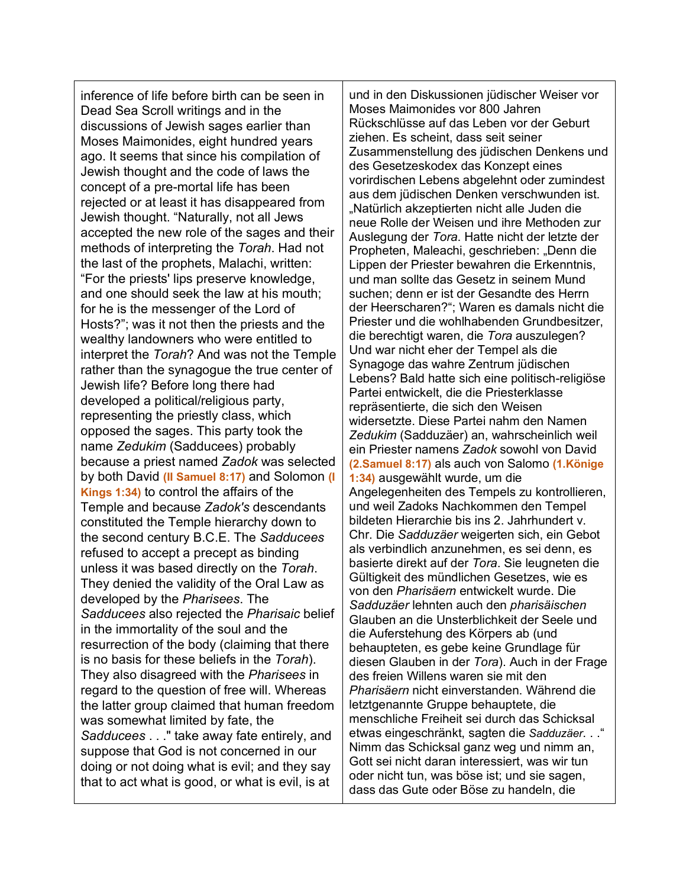inference of life before birth can be seen in Dead Sea Scroll writings and in the discussions of Jewish sages earlier than Moses Maimonides, eight hundred years ago. It seems that since his compilation of Jewish thought and the code of laws the concept of a pre-mortal life has been rejected or at least it has disappeared from Jewish thought. "Naturally, not all Jews accepted the new role of the sages and their methods of interpreting the *Torah*. Had not the last of the prophets, Malachi, written: "For the priests' lips preserve knowledge, and one should seek the law at his mouth; for he is the messenger of the Lord of Hosts?"; was it not then the priests and the wealthy landowners who were entitled to interpret the *Torah*? And was not the Temple rather than the synagogue the true center of Jewish life? Before long there had developed a political/religious party, representing the priestly class, which opposed the sages. This party took the name *Zedukim* (Sadducees) probably because a priest named *Zadok* was selected by both David **(II Samuel 8:17)** and Solomon **(I Kings 1:34)** to control the affairs of the Temple and because *Zadok's* descendants constituted the Temple hierarchy down to the second century B.C.E. The *Sadducees* refused to accept a precept as binding unless it was based directly on the *Torah*. They denied the validity of the Oral Law as developed by the *Pharisees*. The *Sadducees* also rejected the *Pharisaic* belief in the immortality of the soul and the resurrection of the body (claiming that there is no basis for these beliefs in the *Torah*). They also disagreed with the *Pharisees* in regard to the question of free will. Whereas the latter group claimed that human freedom was somewhat limited by fate, the *Sadducees* . . ." take away fate entirely, and suppose that God is not concerned in our doing or not doing what is evil; and they say that to act what is good, or what is evil, is at

und in den Diskussionen jüdischer Weiser vor Moses Maimonides vor 800 Jahren Rückschlüsse auf das Leben vor der Geburt ziehen. Es scheint, dass seit seiner Zusammenstellung des jüdischen Denkens und des Gesetzeskodex das Konzept eines vorirdischen Lebens abgelehnt oder zumindest aus dem jüdischen Denken verschwunden ist. "Natürlich akzeptierten nicht alle Juden die neue Rolle der Weisen und ihre Methoden zur Auslegung der *Tora*. Hatte nicht der letzte der Propheten, Maleachi, geschrieben: "Denn die Lippen der Priester bewahren die Erkenntnis, und man sollte das Gesetz in seinem Mund suchen; denn er ist der Gesandte des Herrn der Heerscharen?"; Waren es damals nicht die Priester und die wohlhabenden Grundbesitzer, die berechtigt waren, die *Tora* auszulegen? Und war nicht eher der Tempel als die Synagoge das wahre Zentrum jüdischen Lebens? Bald hatte sich eine politisch-religiöse Partei entwickelt, die die Priesterklasse repräsentierte, die sich den Weisen widersetzte. Diese Partei nahm den Namen *Zedukim* (Sadduzäer) an, wahrscheinlich weil ein Priester namens *Zadok* sowohl von David **(2.Samuel 8:17)** als auch von Salomo **(1.Könige 1:34)** ausgewählt wurde, um die Angelegenheiten des Tempels zu kontrollieren, und weil Zadoks Nachkommen den Tempel bildeten Hierarchie bis ins 2. Jahrhundert v. Chr. Die *Sadduzäer* weigerten sich, ein Gebot als verbindlich anzunehmen, es sei denn, es basierte direkt auf der *Tora*. Sie leugneten die Gültigkeit des mündlichen Gesetzes, wie es von den *Pharisäern* entwickelt wurde. Die *Sadduzäer* lehnten auch den *pharisäischen* Glauben an die Unsterblichkeit der Seele und die Auferstehung des Körpers ab (und behaupteten, es gebe keine Grundlage für diesen Glauben in der *Tora*). Auch in der Frage des freien Willens waren sie mit den *Pharisäern* nicht einverstanden. Während die letztgenannte Gruppe behauptete, die menschliche Freiheit sei durch das Schicksal etwas eingeschränkt, sagten die *Sadduzäer*. . ." Nimm das Schicksal ganz weg und nimm an, Gott sei nicht daran interessiert, was wir tun oder nicht tun, was böse ist; und sie sagen, dass das Gute oder Böse zu handeln, die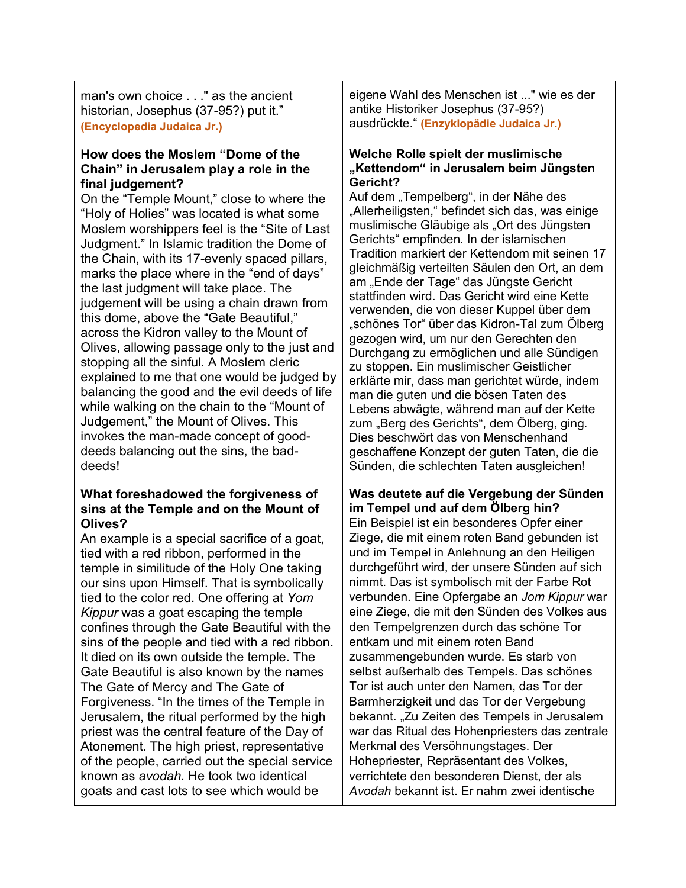| man's own choice" as the ancient                                                                                                                                                                                                                                                                                                                                                                                                                                                                                                                                                                                                                                                                                                                                                                                                                                                                                                                       | eigene Wahl des Menschen ist " wie es der                                                                                                                                                                                                                                                                                                                                                                                                                                                                                                                                                                                                                                                                                                                                                                                                                                                                                                                                                                                               |
|--------------------------------------------------------------------------------------------------------------------------------------------------------------------------------------------------------------------------------------------------------------------------------------------------------------------------------------------------------------------------------------------------------------------------------------------------------------------------------------------------------------------------------------------------------------------------------------------------------------------------------------------------------------------------------------------------------------------------------------------------------------------------------------------------------------------------------------------------------------------------------------------------------------------------------------------------------|-----------------------------------------------------------------------------------------------------------------------------------------------------------------------------------------------------------------------------------------------------------------------------------------------------------------------------------------------------------------------------------------------------------------------------------------------------------------------------------------------------------------------------------------------------------------------------------------------------------------------------------------------------------------------------------------------------------------------------------------------------------------------------------------------------------------------------------------------------------------------------------------------------------------------------------------------------------------------------------------------------------------------------------------|
| historian, Josephus (37-95?) put it."                                                                                                                                                                                                                                                                                                                                                                                                                                                                                                                                                                                                                                                                                                                                                                                                                                                                                                                  | antike Historiker Josephus (37-95?)                                                                                                                                                                                                                                                                                                                                                                                                                                                                                                                                                                                                                                                                                                                                                                                                                                                                                                                                                                                                     |
| (Encyclopedia Judaica Jr.)                                                                                                                                                                                                                                                                                                                                                                                                                                                                                                                                                                                                                                                                                                                                                                                                                                                                                                                             | ausdrückte." (Enzyklopädie Judaica Jr.)                                                                                                                                                                                                                                                                                                                                                                                                                                                                                                                                                                                                                                                                                                                                                                                                                                                                                                                                                                                                 |
| How does the Moslem "Dome of the<br>Chain" in Jerusalem play a role in the<br>final judgement?<br>On the "Temple Mount," close to where the<br>"Holy of Holies" was located is what some<br>Moslem worshippers feel is the "Site of Last<br>Judgment." In Islamic tradition the Dome of<br>the Chain, with its 17-evenly spaced pillars,<br>marks the place where in the "end of days"<br>the last judgment will take place. The<br>judgement will be using a chain drawn from<br>this dome, above the "Gate Beautiful,"<br>across the Kidron valley to the Mount of<br>Olives, allowing passage only to the just and<br>stopping all the sinful. A Moslem cleric<br>explained to me that one would be judged by<br>balancing the good and the evil deeds of life<br>while walking on the chain to the "Mount of<br>Judgement," the Mount of Olives. This<br>invokes the man-made concept of good-<br>deeds balancing out the sins, the bad-<br>deeds! | Welche Rolle spielt der muslimische<br>"Kettendom" in Jerusalem beim Jüngsten<br>Gericht?<br>Auf dem "Tempelberg", in der Nähe des<br>"Allerheiligsten," befindet sich das, was einige<br>muslimische Gläubige als "Ort des Jüngsten<br>Gerichts" empfinden. In der islamischen<br>Tradition markiert der Kettendom mit seinen 17<br>gleichmäßig verteilten Säulen den Ort, an dem<br>am "Ende der Tage" das Jüngste Gericht<br>stattfinden wird. Das Gericht wird eine Kette<br>verwenden, die von dieser Kuppel über dem<br>"schönes Tor" über das Kidron-Tal zum Ölberg<br>gezogen wird, um nur den Gerechten den<br>Durchgang zu ermöglichen und alle Sündigen<br>zu stoppen. Ein muslimischer Geistlicher<br>erklärte mir, dass man gerichtet würde, indem<br>man die guten und die bösen Taten des<br>Lebens abwägte, während man auf der Kette<br>zum "Berg des Gerichts", dem Ölberg, ging.<br>Dies beschwört das von Menschenhand<br>geschaffene Konzept der guten Taten, die die<br>Sünden, die schlechten Taten ausgleichen! |
| What foreshadowed the forgiveness of                                                                                                                                                                                                                                                                                                                                                                                                                                                                                                                                                                                                                                                                                                                                                                                                                                                                                                                   | Was deutete auf die Vergebung der Sünden                                                                                                                                                                                                                                                                                                                                                                                                                                                                                                                                                                                                                                                                                                                                                                                                                                                                                                                                                                                                |
| sins at the Temple and on the Mount of                                                                                                                                                                                                                                                                                                                                                                                                                                                                                                                                                                                                                                                                                                                                                                                                                                                                                                                 | im Tempel und auf dem Ölberg hin?                                                                                                                                                                                                                                                                                                                                                                                                                                                                                                                                                                                                                                                                                                                                                                                                                                                                                                                                                                                                       |
| Olives?                                                                                                                                                                                                                                                                                                                                                                                                                                                                                                                                                                                                                                                                                                                                                                                                                                                                                                                                                | Ein Beispiel ist ein besonderes Opfer einer                                                                                                                                                                                                                                                                                                                                                                                                                                                                                                                                                                                                                                                                                                                                                                                                                                                                                                                                                                                             |
| An example is a special sacrifice of a goat,                                                                                                                                                                                                                                                                                                                                                                                                                                                                                                                                                                                                                                                                                                                                                                                                                                                                                                           | Ziege, die mit einem roten Band gebunden ist                                                                                                                                                                                                                                                                                                                                                                                                                                                                                                                                                                                                                                                                                                                                                                                                                                                                                                                                                                                            |
| tied with a red ribbon, performed in the                                                                                                                                                                                                                                                                                                                                                                                                                                                                                                                                                                                                                                                                                                                                                                                                                                                                                                               | und im Tempel in Anlehnung an den Heiligen                                                                                                                                                                                                                                                                                                                                                                                                                                                                                                                                                                                                                                                                                                                                                                                                                                                                                                                                                                                              |
| temple in similitude of the Holy One taking                                                                                                                                                                                                                                                                                                                                                                                                                                                                                                                                                                                                                                                                                                                                                                                                                                                                                                            | durchgeführt wird, der unsere Sünden auf sich                                                                                                                                                                                                                                                                                                                                                                                                                                                                                                                                                                                                                                                                                                                                                                                                                                                                                                                                                                                           |
| our sins upon Himself. That is symbolically                                                                                                                                                                                                                                                                                                                                                                                                                                                                                                                                                                                                                                                                                                                                                                                                                                                                                                            | nimmt. Das ist symbolisch mit der Farbe Rot                                                                                                                                                                                                                                                                                                                                                                                                                                                                                                                                                                                                                                                                                                                                                                                                                                                                                                                                                                                             |
| tied to the color red. One offering at Yom                                                                                                                                                                                                                                                                                                                                                                                                                                                                                                                                                                                                                                                                                                                                                                                                                                                                                                             | verbunden. Eine Opfergabe an Jom Kippur war                                                                                                                                                                                                                                                                                                                                                                                                                                                                                                                                                                                                                                                                                                                                                                                                                                                                                                                                                                                             |
| Kippur was a goat escaping the temple                                                                                                                                                                                                                                                                                                                                                                                                                                                                                                                                                                                                                                                                                                                                                                                                                                                                                                                  | eine Ziege, die mit den Sünden des Volkes aus                                                                                                                                                                                                                                                                                                                                                                                                                                                                                                                                                                                                                                                                                                                                                                                                                                                                                                                                                                                           |
| confines through the Gate Beautiful with the                                                                                                                                                                                                                                                                                                                                                                                                                                                                                                                                                                                                                                                                                                                                                                                                                                                                                                           | den Tempelgrenzen durch das schöne Tor                                                                                                                                                                                                                                                                                                                                                                                                                                                                                                                                                                                                                                                                                                                                                                                                                                                                                                                                                                                                  |
| sins of the people and tied with a red ribbon.                                                                                                                                                                                                                                                                                                                                                                                                                                                                                                                                                                                                                                                                                                                                                                                                                                                                                                         | entkam und mit einem roten Band                                                                                                                                                                                                                                                                                                                                                                                                                                                                                                                                                                                                                                                                                                                                                                                                                                                                                                                                                                                                         |
| It died on its own outside the temple. The                                                                                                                                                                                                                                                                                                                                                                                                                                                                                                                                                                                                                                                                                                                                                                                                                                                                                                             | zusammengebunden wurde. Es starb von                                                                                                                                                                                                                                                                                                                                                                                                                                                                                                                                                                                                                                                                                                                                                                                                                                                                                                                                                                                                    |
| Gate Beautiful is also known by the names                                                                                                                                                                                                                                                                                                                                                                                                                                                                                                                                                                                                                                                                                                                                                                                                                                                                                                              | selbst außerhalb des Tempels. Das schönes                                                                                                                                                                                                                                                                                                                                                                                                                                                                                                                                                                                                                                                                                                                                                                                                                                                                                                                                                                                               |
| The Gate of Mercy and The Gate of                                                                                                                                                                                                                                                                                                                                                                                                                                                                                                                                                                                                                                                                                                                                                                                                                                                                                                                      | Tor ist auch unter den Namen, das Tor der                                                                                                                                                                                                                                                                                                                                                                                                                                                                                                                                                                                                                                                                                                                                                                                                                                                                                                                                                                                               |
| Forgiveness. "In the times of the Temple in                                                                                                                                                                                                                                                                                                                                                                                                                                                                                                                                                                                                                                                                                                                                                                                                                                                                                                            | Barmherzigkeit und das Tor der Vergebung                                                                                                                                                                                                                                                                                                                                                                                                                                                                                                                                                                                                                                                                                                                                                                                                                                                                                                                                                                                                |
| Jerusalem, the ritual performed by the high                                                                                                                                                                                                                                                                                                                                                                                                                                                                                                                                                                                                                                                                                                                                                                                                                                                                                                            | bekannt. "Zu Zeiten des Tempels in Jerusalem                                                                                                                                                                                                                                                                                                                                                                                                                                                                                                                                                                                                                                                                                                                                                                                                                                                                                                                                                                                            |
| priest was the central feature of the Day of                                                                                                                                                                                                                                                                                                                                                                                                                                                                                                                                                                                                                                                                                                                                                                                                                                                                                                           | war das Ritual des Hohenpriesters das zentrale                                                                                                                                                                                                                                                                                                                                                                                                                                                                                                                                                                                                                                                                                                                                                                                                                                                                                                                                                                                          |
| Atonement. The high priest, representative                                                                                                                                                                                                                                                                                                                                                                                                                                                                                                                                                                                                                                                                                                                                                                                                                                                                                                             | Merkmal des Versöhnungstages. Der                                                                                                                                                                                                                                                                                                                                                                                                                                                                                                                                                                                                                                                                                                                                                                                                                                                                                                                                                                                                       |
| of the people, carried out the special service                                                                                                                                                                                                                                                                                                                                                                                                                                                                                                                                                                                                                                                                                                                                                                                                                                                                                                         | Hohepriester, Repräsentant des Volkes,                                                                                                                                                                                                                                                                                                                                                                                                                                                                                                                                                                                                                                                                                                                                                                                                                                                                                                                                                                                                  |
| known as avodah. He took two identical                                                                                                                                                                                                                                                                                                                                                                                                                                                                                                                                                                                                                                                                                                                                                                                                                                                                                                                 | verrichtete den besonderen Dienst, der als                                                                                                                                                                                                                                                                                                                                                                                                                                                                                                                                                                                                                                                                                                                                                                                                                                                                                                                                                                                              |
| goats and cast lots to see which would be                                                                                                                                                                                                                                                                                                                                                                                                                                                                                                                                                                                                                                                                                                                                                                                                                                                                                                              | Avodah bekannt ist. Er nahm zwei identische                                                                                                                                                                                                                                                                                                                                                                                                                                                                                                                                                                                                                                                                                                                                                                                                                                                                                                                                                                                             |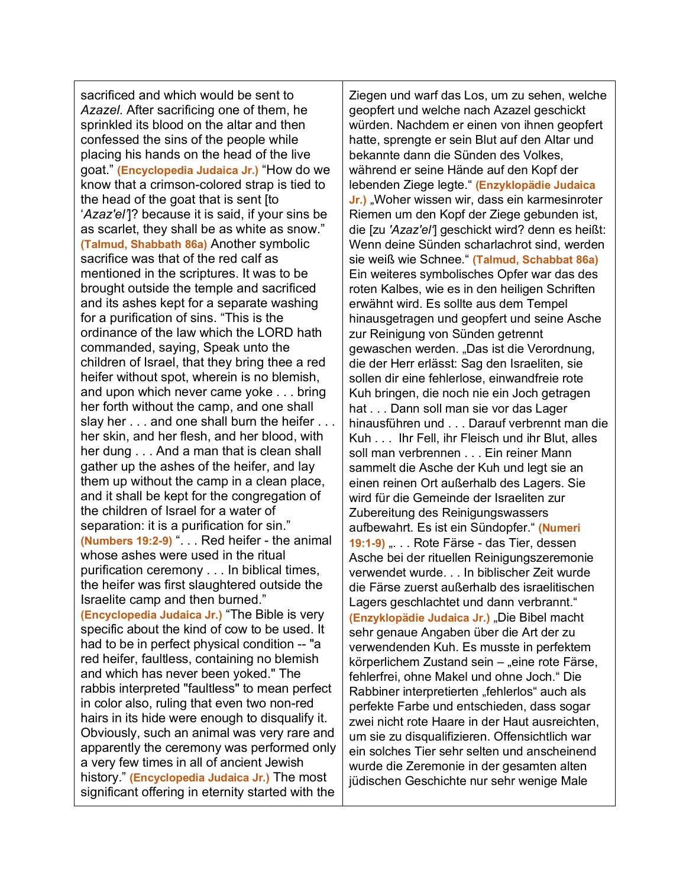sacrificed and which would be sent to *Azazel.* After sacrificing one of them, he sprinkled its blood on the altar and then confessed the sins of the people while placing his hands on the head of the live goat." **(Encyclopedia Judaica Jr.)** "How do we know that a crimson-colored strap is tied to the head of the goat that is sent [to '*Azaz'el'*]? because it is said, if your sins be as scarlet, they shall be as white as snow." **(Talmud, Shabbath 86a)** Another symbolic sacrifice was that of the red calf as mentioned in the scriptures. It was to be brought outside the temple and sacrificed and its ashes kept for a separate washing for a purification of sins. "This is the ordinance of the law which the LORD hath commanded, saying, Speak unto the children of Israel, that they bring thee a red heifer without spot, wherein is no blemish, and upon which never came yoke . . . bring her forth without the camp, and one shall slay her . . . and one shall burn the heifer . . . her skin, and her flesh, and her blood, with her dung . . . And a man that is clean shall gather up the ashes of the heifer, and lay them up without the camp in a clean place, and it shall be kept for the congregation of the children of Israel for a water of separation: it is a purification for sin." **(Numbers 19:2-9)** ". . . Red heifer - the animal whose ashes were used in the ritual purification ceremony . . . In biblical times, the heifer was first slaughtered outside the Israelite camp and then burned." **(Encyclopedia Judaica Jr.)** "The Bible is very specific about the kind of cow to be used. It had to be in perfect physical condition -- "a red heifer, faultless, containing no blemish and which has never been yoked." The rabbis interpreted "faultless" to mean perfect in color also, ruling that even two non-red hairs in its hide were enough to disqualify it. Obviously, such an animal was very rare and apparently the ceremony was performed only a very few times in all of ancient Jewish history." **(Encyclopedia Judaica Jr.)** The most significant offering in eternity started with the

Ziegen und warf das Los, um zu sehen, welche geopfert und welche nach Azazel geschickt würden. Nachdem er einen von ihnen geopfert hatte, sprengte er sein Blut auf den Altar und bekannte dann die Sünden des Volkes, während er seine Hände auf den Kopf der lebenden Ziege legte." **(Enzyklopädie Judaica Jr.)** Woher wissen wir, dass ein karmesinroter Riemen um den Kopf der Ziege gebunden ist, die [zu *'Azaz'el'*] geschickt wird? denn es heißt: Wenn deine Sünden scharlachrot sind, werden sie weiß wie Schnee." **(Talmud, Schabbat 86a)** Ein weiteres symbolisches Opfer war das des roten Kalbes, wie es in den heiligen Schriften erwähnt wird. Es sollte aus dem Tempel hinausgetragen und geopfert und seine Asche zur Reinigung von Sünden getrennt gewaschen werden. "Das ist die Verordnung, die der Herr erlässt: Sag den Israeliten, sie sollen dir eine fehlerlose, einwandfreie rote Kuh bringen, die noch nie ein Joch getragen hat . . . Dann soll man sie vor das Lager hinausführen und . . . Darauf verbrennt man die Kuh . . . Ihr Fell, ihr Fleisch und ihr Blut, alles soll man verbrennen . . . Ein reiner Mann sammelt die Asche der Kuh und legt sie an einen reinen Ort außerhalb des Lagers. Sie wird für die Gemeinde der Israeliten zur Zubereitung des Reinigungswassers aufbewahrt. Es ist ein Sündopfer." **(Numeri 19:1-9)** ". . . Rote Färse - das Tier, dessen Asche bei der rituellen Reinigungszeremonie verwendet wurde. . . In biblischer Zeit wurde die Färse zuerst außerhalb des israelitischen Lagers geschlachtet und dann verbrannt." **(Enzyklopädie Judaica Jr.)** "Die Bibel macht sehr genaue Angaben über die Art der zu verwendenden Kuh. Es musste in perfektem körperlichem Zustand sein – "eine rote Färse, fehlerfrei, ohne Makel und ohne Joch." Die Rabbiner interpretierten "fehlerlos" auch als perfekte Farbe und entschieden, dass sogar zwei nicht rote Haare in der Haut ausreichten, um sie zu disqualifizieren. Offensichtlich war ein solches Tier sehr selten und anscheinend wurde die Zeremonie in der gesamten alten jüdischen Geschichte nur sehr wenige Male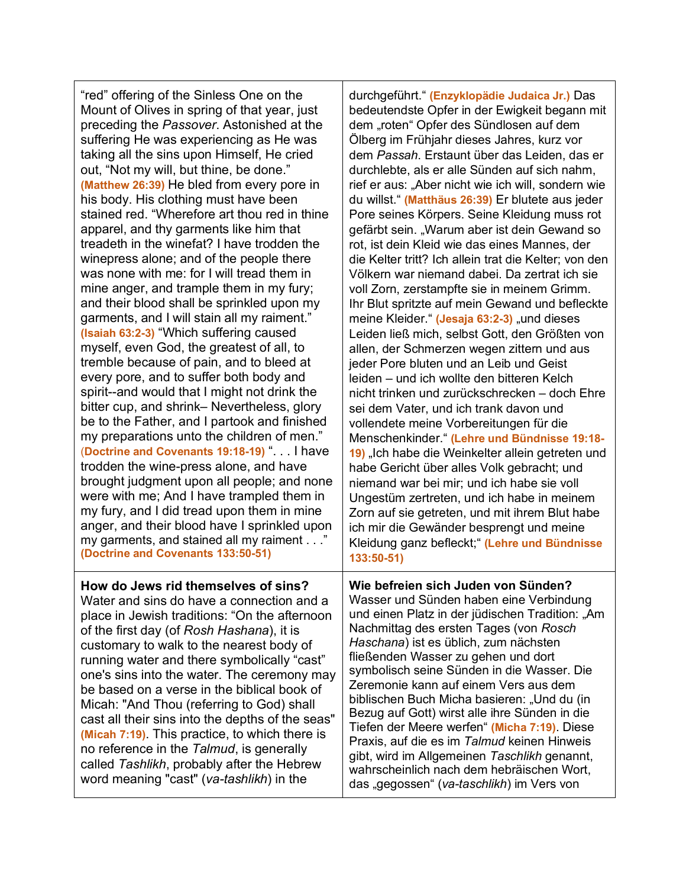"red" offering of the Sinless One on the Mount of Olives in spring of that year, just preceding the *Passover*. Astonished at the suffering He was experiencing as He was taking all the sins upon Himself, He cried out, "Not my will, but thine, be done." **(Matthew 26:39)** He bled from every pore in his body. His clothing must have been stained red. "Wherefore art thou red in thine apparel, and thy garments like him that treadeth in the winefat? I have trodden the winepress alone; and of the people there was none with me: for I will tread them in mine anger, and trample them in my fury; and their blood shall be sprinkled upon my garments, and I will stain all my raiment." **(Isaiah 63:2-3)** "Which suffering caused myself, even God, the greatest of all, to tremble because of pain, and to bleed at every pore, and to suffer both body and spirit--and would that I might not drink the bitter cup, and shrink– Nevertheless, glory be to the Father, and I partook and finished my preparations unto the children of men." (**Doctrine and Covenants 19:18-19)** ". . . I have trodden the wine-press alone, and have brought judgment upon all people; and none were with me; And I have trampled them in my fury, and I did tread upon them in mine anger, and their blood have I sprinkled upon my garments, and stained all my raiment . . ." **(Doctrine and Covenants 133:50-51)**

durchgeführt." **(Enzyklopädie Judaica Jr.)** Das bedeutendste Opfer in der Ewigkeit begann mit dem "roten" Opfer des Sündlosen auf dem Ölberg im Frühjahr dieses Jahres, kurz vor dem *Passah*. Erstaunt über das Leiden, das er durchlebte, als er alle Sünden auf sich nahm, rief er aus: "Aber nicht wie ich will, sondern wie du willst." **(Matthäus 26:39)** Er blutete aus jeder Pore seines Körpers. Seine Kleidung muss rot gefärbt sein. "Warum aber ist dein Gewand so rot, ist dein Kleid wie das eines Mannes, der die Kelter tritt? Ich allein trat die Kelter; von den Völkern war niemand dabei. Da zertrat ich sie voll Zorn, zerstampfte sie in meinem Grimm. Ihr Blut spritzte auf mein Gewand und befleckte meine Kleider." (Jesaja 63:2-3) "und dieses Leiden ließ mich, selbst Gott, den Größten von allen, der Schmerzen wegen zittern und aus jeder Pore bluten und an Leib und Geist leiden – und ich wollte den bitteren Kelch nicht trinken und zurückschrecken – doch Ehre sei dem Vater, und ich trank davon und vollendete meine Vorbereitungen für die Menschenkinder." **(Lehre und Bündnisse 19:18- 19)** "Ich habe die Weinkelter allein getreten und habe Gericht über alles Volk gebracht; und niemand war bei mir; und ich habe sie voll Ungestüm zertreten, und ich habe in meinem Zorn auf sie getreten, und mit ihrem Blut habe ich mir die Gewänder besprengt und meine Kleidung ganz befleckt;" **(Lehre und Bündnisse 133:50-51)**

**How do Jews rid themselves of sins?** Water and sins do have a connection and a place in Jewish traditions: "On the afternoon of the first day (of *Rosh Hashana*), it is customary to walk to the nearest body of running water and there symbolically "cast" one's sins into the water. The ceremony may be based on a verse in the biblical book of Micah: "And Thou (referring to God) shall cast all their sins into the depths of the seas" **(Micah 7:19)**. This practice, to which there is no reference in the *Talmud*, is generally called *Tashlikh*, probably after the Hebrew word meaning "cast" (*va-tashlikh*) in the

**Wie befreien sich Juden von Sünden?** Wasser und Sünden haben eine Verbindung und einen Platz in der jüdischen Tradition: "Am Nachmittag des ersten Tages (von *Rosch Haschana*) ist es üblich, zum nächsten fließenden Wasser zu gehen und dort symbolisch seine Sünden in die Wasser. Die Zeremonie kann auf einem Vers aus dem biblischen Buch Micha basieren: "Und du (in Bezug auf Gott) wirst alle ihre Sünden in die Tiefen der Meere werfen" **(Micha 7:19)**. Diese Praxis, auf die es im *Talmud* keinen Hinweis gibt, wird im Allgemeinen *Taschlikh* genannt, wahrscheinlich nach dem hebräischen Wort, das "gegossen" (*va-taschlikh*) im Vers von